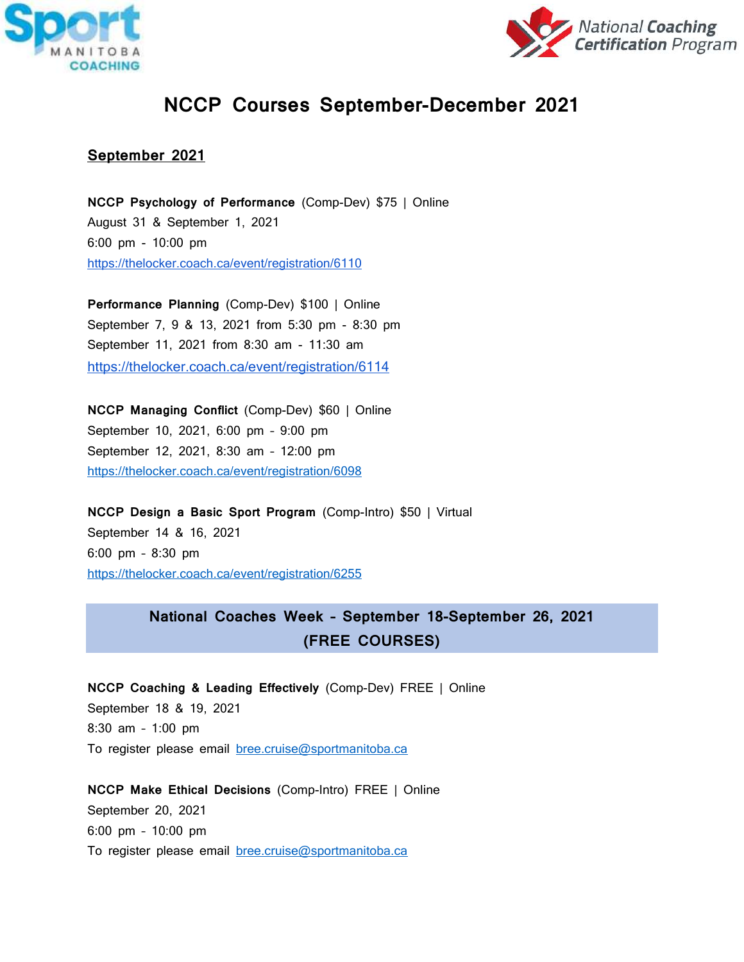



# **NCCP Courses September-December 2021**

## **September 2021**

**NCCP Psychology of Performance** (Comp-Dev) \$75 | Online August 31 & September 1, 2021 6:00 pm - 10:00 pm <https://thelocker.coach.ca/event/registration/6110>

**Performance Planning** (Comp-Dev) \$100 | Online September 7, 9 & 13, 2021 from 5:30 pm - 8:30 pm September 11, 2021 from 8:30 am - 11:30 am <https://thelocker.coach.ca/event/registration/6114>

**NCCP Managing Conflict** (Comp-Dev) \$60 | Online September 10, 2021, 6:00 pm – 9:00 pm September 12, 2021, 8:30 am – 12:00 pm <https://thelocker.coach.ca/event/registration/6098>

**NCCP Design a Basic Sport Program** (Comp-Intro) \$50 | Virtual September 14 & 16, 2021 6:00 pm – 8:30 pm <https://thelocker.coach.ca/event/registration/6255>

# **National Coaches Week – September 18-September 26, 2021 (FREE COURSES)**

**NCCP Coaching & Leading Effectively** (Comp-Dev) FREE | Online September 18 & 19, 2021 8:30 am – 1:00 pm To register please email [bree.cruise@sportmanitoba.ca](mailto:bree.cruise@sportmanitoba.ca)

**NCCP Make Ethical Decisions** (Comp-Intro) FREE | Online September 20, 2021 6:00 pm – 10:00 pm To register please email [bree.cruise@sportmanitoba.ca](mailto:bree.cruise@sportmanitoba.ca)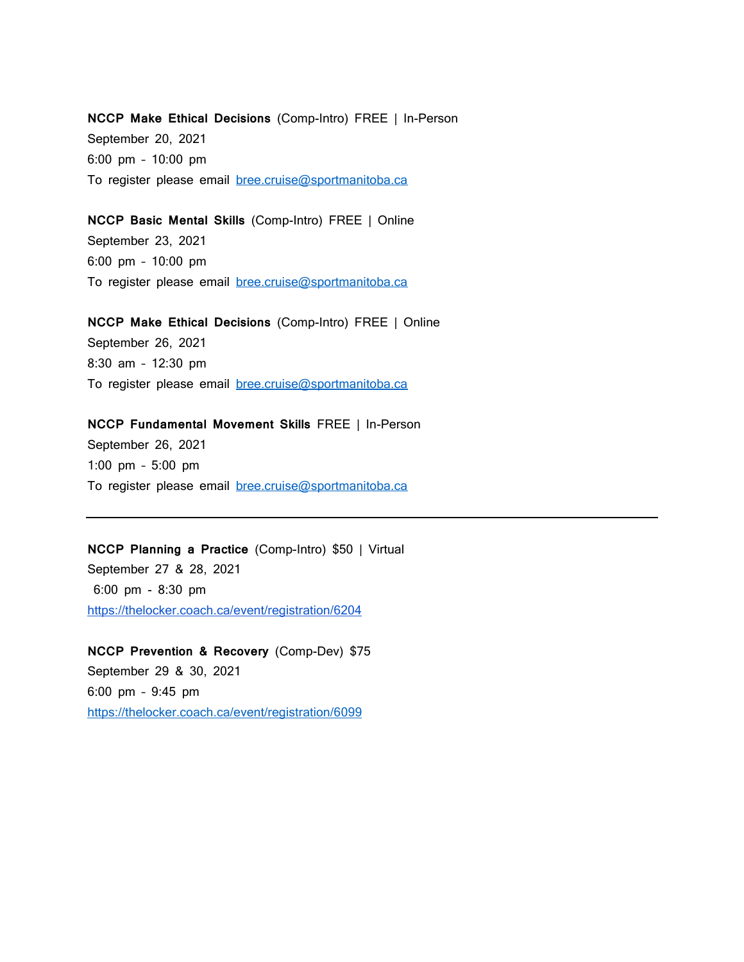**NCCP Make Ethical Decisions** (Comp-Intro) FREE | In-Person September 20, 2021 6:00 pm – 10:00 pm To register please email [bree.cruise@sportmanitoba.ca](mailto:bree.cruise@sportmanitoba.ca)

**NCCP Basic Mental Skills** (Comp-Intro) FREE | Online September 23, 2021 6:00 pm – 10:00 pm To register please email [bree.cruise@sportmanitoba.ca](mailto:bree.cruise@sportmanitoba.ca)

**NCCP Make Ethical Decisions** (Comp-Intro) FREE | Online September 26, 2021 8:30 am – 12:30 pm To register please email [bree.cruise@sportmanitoba.ca](mailto:bree.cruise@sportmanitoba.ca)

**NCCP Fundamental Movement Skills** FREE | In-Person

September 26, 2021 1:00 pm – 5:00 pm To register please email [bree.cruise@sportmanitoba.ca](mailto:bree.cruise@sportmanitoba.ca)

**NCCP Planning a Practice** (Comp-Intro) \$50 | Virtual September 27 & 28, 2021 6:00 pm - 8:30 pm <https://thelocker.coach.ca/event/registration/6204>

**NCCP Prevention & Recovery** (Comp-Dev) \$75 September 29 & 30, 2021 6:00 pm – 9:45 pm <https://thelocker.coach.ca/event/registration/6099>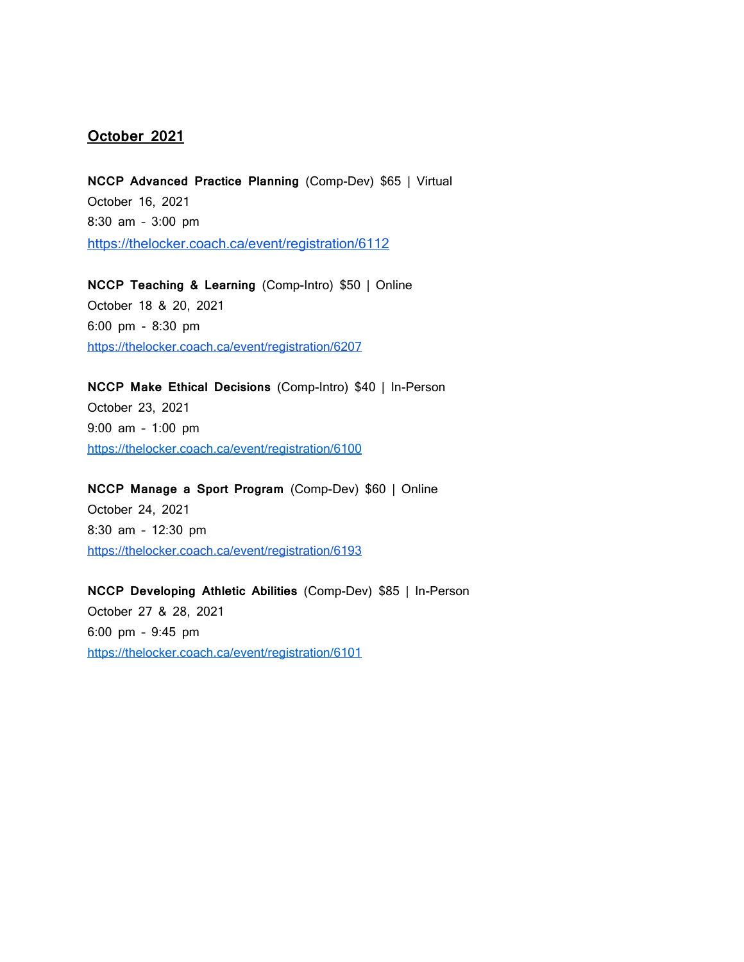### **October 2021**

**NCCP Advanced Practice Planning** (Comp-Dev) \$65 | Virtual October 16, 2021 8:30 am – 3:00 pm <https://thelocker.coach.ca/event/registration/6112>

**NCCP Teaching & Learning** (Comp-Intro) \$50 | Online October 18 & 20, 2021 6:00 pm - 8:30 pm <https://thelocker.coach.ca/event/registration/6207>

**NCCP Make Ethical Decisions** (Comp-Intro) \$40 | In-Person October 23, 2021 9:00 am – 1:00 pm <https://thelocker.coach.ca/event/registration/6100>

**NCCP Manage a Sport Program** (Comp-Dev) \$60 | Online October 24, 2021 8:30 am – 12:30 pm <https://thelocker.coach.ca/event/registration/6193>

**NCCP Developing Athletic Abilities** (Comp-Dev) \$85 | In-Person October 27 & 28, 2021 6:00 pm – 9:45 pm <https://thelocker.coach.ca/event/registration/6101>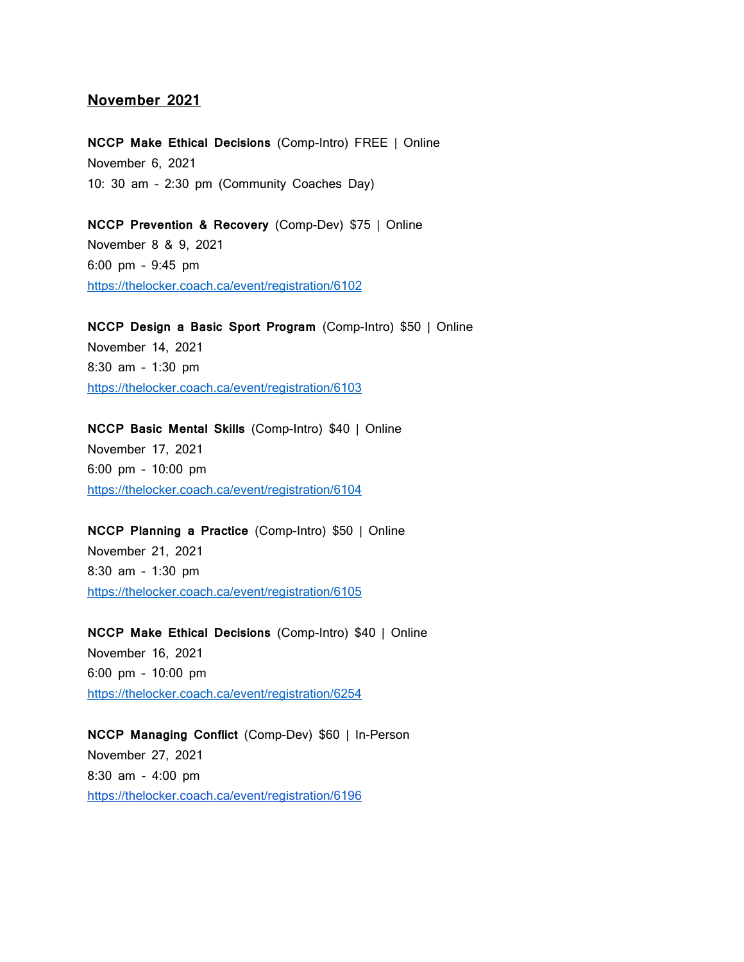#### **November 2021**

**NCCP Make Ethical Decisions** (Comp-Intro) FREE | Online November 6, 2021 10: 30 am – 2:30 pm (Community Coaches Day)

**NCCP Prevention & Recovery** (Comp-Dev) \$75 | Online November 8 & 9, 2021 6:00 pm – 9:45 pm <https://thelocker.coach.ca/event/registration/6102>

**NCCP Design a Basic Sport Program** (Comp-Intro) \$50 | Online November 14, 2021 8:30 am – 1:30 pm <https://thelocker.coach.ca/event/registration/6103>

**NCCP Basic Mental Skills** (Comp-Intro) \$40 | Online November 17, 2021 6:00 pm – 10:00 pm <https://thelocker.coach.ca/event/registration/6104>

**NCCP Planning a Practice** (Comp-Intro) \$50 | Online November 21, 2021 8:30 am – 1:30 pm <https://thelocker.coach.ca/event/registration/6105>

**NCCP Make Ethical Decisions** (Comp-Intro) \$40 | Online November 16, 2021 6:00 pm – 10:00 pm <https://thelocker.coach.ca/event/registration/6254>

**NCCP Managing Conflict** (Comp-Dev) \$60 | In-Person November 27, 2021 8:30 am - 4:00 pm <https://thelocker.coach.ca/event/registration/6196>